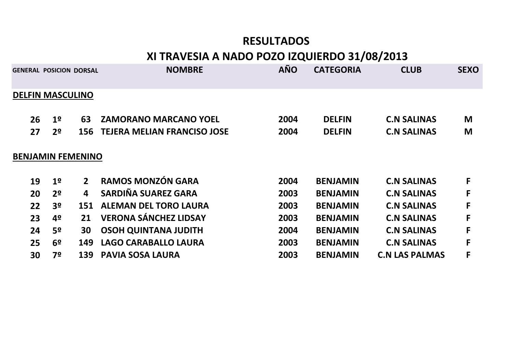## **RESULTADOS**

# **XI TRAVESIA A NADO POZO IZQUIERDO 31/08/2013**

|    | <b>GENERAL POSICION DORSAL</b> |             | <b>NOMBRE</b>                      | <b>AÑO</b> | <b>CATEGORIA</b> | <b>CLUB</b>           | <b>SEXO</b> |
|----|--------------------------------|-------------|------------------------------------|------------|------------------|-----------------------|-------------|
|    | <b>DELFIN MASCULINO</b>        |             |                                    |            |                  |                       |             |
| 26 | 1 <sup>o</sup>                 | 63          | <b>ZAMORANO MARCANO YOEL</b>       | 2004       | <b>DELFIN</b>    | <b>C.N SALINAS</b>    | M           |
| 27 | 2 <sup>o</sup>                 | 156         | <b>TEJERA MELIAN FRANCISO JOSE</b> | 2004       | <b>DELFIN</b>    | <b>C.N SALINAS</b>    | M           |
|    | <b>BENJAMIN FEMENINO</b>       |             |                                    |            |                  |                       |             |
| 19 | 1 <sup>o</sup>                 | $2^{\circ}$ | <b>RAMOS MONZÓN GARA</b>           | 2004       | <b>BENJAMIN</b>  | <b>C.N SALINAS</b>    | F           |
| 20 | 2 <sup>0</sup>                 | 4           | SARDIÑA SUAREZ GARA                | 2003       | <b>BENJAMIN</b>  | <b>C.N SALINAS</b>    | F           |
| 22 | 3 <sup>o</sup>                 | 151         | <b>ALEMAN DEL TORO LAURA</b>       | 2003       | <b>BENJAMIN</b>  | <b>C.N SALINAS</b>    | F           |
| 23 | 4º                             | 21          | <b>VERONA SÁNCHEZ LIDSAY</b>       | 2003       | <b>BENJAMIN</b>  | <b>C.N SALINAS</b>    | F           |
| 24 | 5º                             | 30          | <b>OSOH QUINTANA JUDITH</b>        | 2004       | <b>BENJAMIN</b>  | <b>C.N SALINAS</b>    | F           |
| 25 | 6 <sup>o</sup>                 | 149         | LAGO CARABALLO LAURA               | 2003       | <b>BENJAMIN</b>  | <b>C.N SALINAS</b>    | F           |
| 30 | 7º                             | 139         | <b>PAVIA SOSA LAURA</b>            | 2003       | <b>BENJAMIN</b>  | <b>C.N LAS PALMAS</b> | F           |
|    |                                |             |                                    |            |                  |                       |             |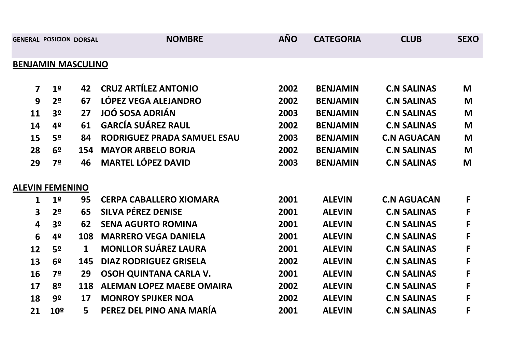| <b>GENERAL POSICION DORSAL</b> |                 |              | <b>NOMBRE</b>                    | <b>AÑO</b> | <b>CATEGORIA</b> | <b>CLUB</b>        | <b>SEXO</b> |  |
|--------------------------------|-----------------|--------------|----------------------------------|------------|------------------|--------------------|-------------|--|
| <b>BENJAMIN MASCULINO</b>      |                 |              |                                  |            |                  |                    |             |  |
| $\overline{\mathbf{z}}$        | 1 <sup>o</sup>  | 42           | <b>CRUZ ARTÍLEZ ANTONIO</b>      | 2002       | <b>BENJAMIN</b>  | <b>C.N SALINAS</b> | M           |  |
| 9                              | 2 <sup>o</sup>  | 67           | LÓPEZ VEGA ALEJANDRO             | 2002       | <b>BENJAMIN</b>  | <b>C.N SALINAS</b> | M           |  |
| 11                             | 3 <sup>o</sup>  | 27           | <b>JOÓ SOSA ADRIÁN</b>           | 2003       | <b>BENJAMIN</b>  | <b>C.N SALINAS</b> | M           |  |
| 14                             | 4º              | 61           | <b>GARCÍA SUÁREZ RAUL</b>        | 2002       | <b>BENJAMIN</b>  | <b>C.N SALINAS</b> | M           |  |
| 15                             | 5º              | 84           | RODRIGUEZ PRADA SAMUEL ESAU      | 2003       | <b>BENJAMIN</b>  | <b>C.N AGUACAN</b> | M           |  |
| 28                             | 6 <sup>o</sup>  | 154          | <b>MAYOR ARBELO BORJA</b>        | 2002       | <b>BENJAMIN</b>  | <b>C.N SALINAS</b> | M           |  |
| 29                             | 7º              | 46           | <b>MARTEL LÓPEZ DAVID</b>        | 2003       | <b>BENJAMIN</b>  | <b>C.N SALINAS</b> | M           |  |
| <b>ALEVIN FEMENINO</b>         |                 |              |                                  |            |                  |                    |             |  |
| 1                              | 1 <sup>o</sup>  | 95           | <b>CERPA CABALLERO XIOMARA</b>   | 2001       | <b>ALEVIN</b>    | <b>C.N AGUACAN</b> | F           |  |
| $\mathbf{3}$                   | 2 <sup>o</sup>  | 65           | <b>SILVA PÉREZ DENISE</b>        | 2001       | <b>ALEVIN</b>    | <b>C.N SALINAS</b> | F           |  |
| 4                              | 3 <sup>o</sup>  | 62           | <b>SENA AGURTO ROMINA</b>        | 2001       | <b>ALEVIN</b>    | <b>C.N SALINAS</b> | F           |  |
| 6                              | 4º              | 108          | <b>MARRERO VEGA DANIELA</b>      | 2001       | <b>ALEVIN</b>    | <b>C.N SALINAS</b> | F           |  |
| 12                             | 5º              | $\mathbf{1}$ | <b>MONLLOR SUÁREZ LAURA</b>      | 2001       | <b>ALEVIN</b>    | <b>C.N SALINAS</b> | F           |  |
| 13                             | 6 <sup>o</sup>  | 145          | <b>DIAZ RODRIGUEZ GRISELA</b>    | 2002       | <b>ALEVIN</b>    | <b>C.N SALINAS</b> | F           |  |
| 16                             | 7º              | 29           | OSOH QUINTANA CARLA V.           | 2001       | <b>ALEVIN</b>    | <b>C.N SALINAS</b> | F           |  |
| 17                             | 8º              | 118          | <b>ALEMAN LOPEZ MAEBE OMAIRA</b> | 2002       | <b>ALEVIN</b>    | <b>C.N SALINAS</b> | F           |  |
| 18                             | 9º              | 17           | <b>MONROY SPIJKER NOA</b>        | 2002       | <b>ALEVIN</b>    | <b>C.N SALINAS</b> | F           |  |
| 21                             | 10 <sup>o</sup> | 5            | PEREZ DEL PINO ANA MARÍA         | 2001       | <b>ALEVIN</b>    | <b>C.N SALINAS</b> | F           |  |
|                                |                 |              |                                  |            |                  |                    |             |  |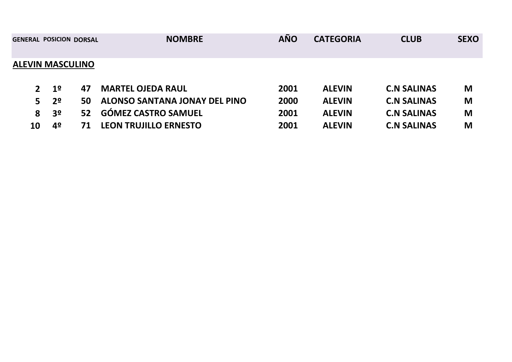|                                       |               | <b>CLUB</b>                                     | <b>SEXO</b> |
|---------------------------------------|---------------|-------------------------------------------------|-------------|
|                                       |               |                                                 |             |
| <b>MARTEL OJEDA RAUL</b><br>2001      | <b>ALEVIN</b> | <b>C.N SALINAS</b>                              | M           |
| ALONSO SANTANA JONAY DEL PINO<br>2000 | <b>ALEVIN</b> | <b>C.N SALINAS</b>                              | M           |
| <b>GÓMEZ CASTRO SAMUEL</b><br>2001    | <b>ALEVIN</b> | <b>C.N SALINAS</b>                              | M           |
| <b>LEON TRUJILLO ERNESTO</b><br>2001  | <b>ALEVIN</b> | <b>C.N SALINAS</b>                              | M           |
|                                       |               | <b>AÑO</b><br><b>NOMBRE</b><br><b>CATEGORIA</b> |             |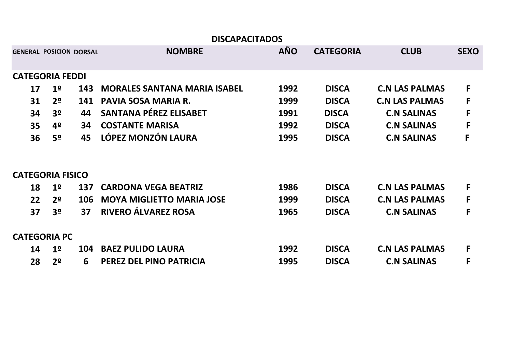|    |                                |            | <b>DISCAPACITADOS</b>               |            |                  |                       |             |
|----|--------------------------------|------------|-------------------------------------|------------|------------------|-----------------------|-------------|
|    | <b>GENERAL POSICION DORSAL</b> |            | <b>NOMBRE</b>                       | <b>AÑO</b> | <b>CATEGORIA</b> | <b>CLUB</b>           | <b>SEXO</b> |
|    | <b>CATEGORIA FEDDI</b>         |            |                                     |            |                  |                       |             |
| 17 | 1 <sup>o</sup>                 | 143        | <b>MORALES SANTANA MARIA ISABEL</b> | 1992       | <b>DISCA</b>     | <b>C.N LAS PALMAS</b> | F           |
| 31 | 2 <sup>o</sup>                 | 141        | PAVIA SOSA MARIA R.                 | 1999       | <b>DISCA</b>     | <b>C.N LAS PALMAS</b> | F           |
| 34 | 3 <sup>o</sup>                 | 44         | <b>SANTANA PÉREZ ELISABET</b>       | 1991       | <b>DISCA</b>     | <b>C.N SALINAS</b>    | F           |
| 35 | 4º                             | 34         | <b>COSTANTE MARISA</b>              | 1992       | <b>DISCA</b>     | <b>C.N SALINAS</b>    | F           |
| 36 | 52                             | 45         | LÓPEZ MONZÓN LAURA                  | 1995       | <b>DISCA</b>     | <b>C.N SALINAS</b>    | F           |
|    |                                |            |                                     |            |                  |                       |             |
|    | <b>CATEGORIA FISICO</b>        |            |                                     |            |                  |                       |             |
| 18 | 1 <sup>o</sup>                 | 137        | <b>CARDONA VEGA BEATRIZ</b>         | 1986       | <b>DISCA</b>     | <b>C.N LAS PALMAS</b> | F           |
| 22 | 2 <sup>0</sup>                 | <b>106</b> | <b>MOYA MIGLIETTO MARIA JOSE</b>    | 1999       | <b>DISCA</b>     | <b>C.N LAS PALMAS</b> | F           |
| 37 | 3º                             | 37         | RIVERO ÁLVAREZ ROSA                 | 1965       | <b>DISCA</b>     | <b>C.N SALINAS</b>    | F           |
|    |                                |            |                                     |            |                  |                       |             |
|    | <b>CATEGORIA PC</b>            |            |                                     |            |                  |                       |             |
| 14 | 1 <sup>o</sup>                 | 104        | <b>BAEZ PULIDO LAURA</b>            | 1992       | <b>DISCA</b>     | <b>C.N LAS PALMAS</b> | F           |
| 28 | 2º                             | 6          | PEREZ DEL PINO PATRICIA             | 1995       | <b>DISCA</b>     | <b>C.N SALINAS</b>    | F           |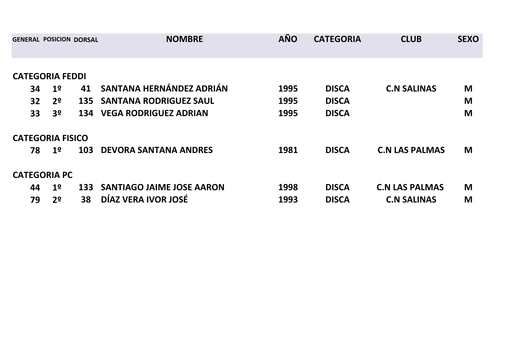| <b>GENERAL POSICION DORSAL</b> |                |     | <b>NOMBRE</b>                        | <b>AÑO</b> | <b>CATEGORIA</b> | <b>CLUB</b>           | <b>SEXO</b> |
|--------------------------------|----------------|-----|--------------------------------------|------------|------------------|-----------------------|-------------|
|                                |                |     |                                      |            |                  |                       |             |
| <b>CATEGORIA FEDDI</b>         |                |     |                                      |            |                  |                       |             |
| 34                             | 1 <sup>o</sup> | 41  | SANTANA HERNÁNDEZ ADRIÁN             | 1995       | <b>DISCA</b>     | <b>C.N SALINAS</b>    | M           |
| 32                             | 2 <sup>o</sup> | 135 | <b>SANTANA RODRIGUEZ SAUL</b>        | 1995       | <b>DISCA</b>     |                       | M           |
| 33                             | 3 <sup>o</sup> | 134 | <b>VEGA RODRIGUEZ ADRIAN</b>         | 1995       | <b>DISCA</b>     |                       | M           |
| <b>CATEGORIA FISICO</b>        |                |     |                                      |            |                  |                       |             |
| 78                             | 1 <sup>o</sup> | 103 | <b>DEVORA SANTANA ANDRES</b>         | 1981       | <b>DISCA</b>     | <b>C.N LAS PALMAS</b> | M           |
| <b>CATEGORIA PC</b>            |                |     |                                      |            |                  |                       |             |
| 44                             | 1 <sup>o</sup> |     | <b>133 SANTIAGO JAIME JOSE AARON</b> | 1998       | <b>DISCA</b>     | <b>C.N LAS PALMAS</b> | M           |
| 79                             | 2º             | 38  | DÍAZ VERA IVOR JOSÉ                  | 1993       | <b>DISCA</b>     | <b>C.N SALINAS</b>    | M           |
|                                |                |     |                                      |            |                  |                       |             |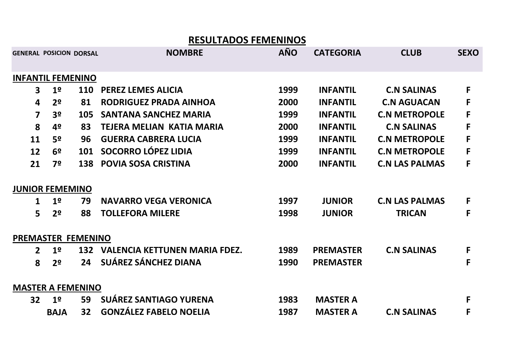|                |                                |     | <b>RESULTADOS FEMENINOS</b>          |            |                  |                       |             |
|----------------|--------------------------------|-----|--------------------------------------|------------|------------------|-----------------------|-------------|
|                | <b>GENERAL POSICION DORSAL</b> |     | <b>NOMBRE</b>                        | <b>AÑO</b> | <b>CATEGORIA</b> | <b>CLUB</b>           | <b>SEXO</b> |
|                | <b>INFANTIL FEMENINO</b>       |     |                                      |            |                  |                       |             |
| 3              | 1 <sup>o</sup>                 | 110 | <b>PEREZ LEMES ALICIA</b>            | 1999       | <b>INFANTIL</b>  | <b>C.N SALINAS</b>    | F           |
| 4              | 2 <sup>o</sup>                 | 81  | <b>RODRIGUEZ PRADA AINHOA</b>        | 2000       | <b>INFANTIL</b>  | <b>C.N AGUACAN</b>    | F           |
| $\overline{7}$ | 3 <sup>o</sup>                 | 105 | <b>SANTANA SANCHEZ MARIA</b>         | 1999       | <b>INFANTIL</b>  | <b>C.N METROPOLE</b>  | F           |
| 8              | 4º                             | 83  | <b>TEJERA MELIAN KATIA MARIA</b>     | 2000       | <b>INFANTIL</b>  | <b>C.N SALINAS</b>    | F           |
| 11             | 5º                             | 96  | <b>GUERRA CABRERA LUCIA</b>          | 1999       | <b>INFANTIL</b>  | <b>C.N METROPOLE</b>  | F           |
| 12             | 6º                             | 101 | <b>SOCORRO LÓPEZ LIDIA</b>           | 1999       | <b>INFANTIL</b>  | <b>C.N METROPOLE</b>  | F           |
| 21             | 7º                             | 138 | <b>POVIA SOSA CRISTINA</b>           | 2000       | <b>INFANTIL</b>  | <b>C.N LAS PALMAS</b> | F           |
|                | <b>JUNIOR FEMEMINO</b>         |     |                                      |            |                  |                       |             |
| 1              | 1 <sup>o</sup>                 | 79  | <b>NAVARRO VEGA VERONICA</b>         | 1997       | <b>JUNIOR</b>    | <b>C.N LAS PALMAS</b> | F           |
| 5              | 2 <sup>o</sup>                 | 88  | <b>TOLLEFORA MILERE</b>              | 1998       | <b>JUNIOR</b>    | <b>TRICAN</b>         | F           |
|                | <b>PREMASTER FEMENINO</b>      |     |                                      |            |                  |                       |             |
| 2 <sup>1</sup> | 1 <sup>o</sup>                 | 132 | <b>VALENCIA KETTUNEN MARIA FDEZ.</b> | 1989       | <b>PREMASTER</b> | <b>C.N SALINAS</b>    | F           |
| 8              | 2 <sup>o</sup>                 | 24  | SUÁREZ SÁNCHEZ DIANA                 | 1990       | <b>PREMASTER</b> |                       | F           |
|                | <b>MASTER A FEMENINO</b>       |     |                                      |            |                  |                       |             |
| 32             | 1 <sup>o</sup>                 | 59  | <b>SUÁREZ SANTIAGO YURENA</b>        | 1983       | <b>MASTER A</b>  |                       | F           |
|                | <b>BAJA</b>                    | 32  | <b>GONZÁLEZ FABELO NOELIA</b>        | 1987       | <b>MASTER A</b>  | <b>C.N SALINAS</b>    | F           |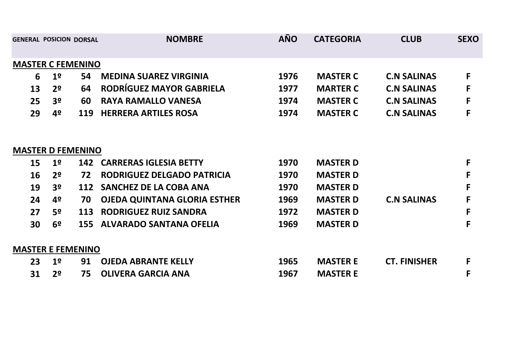|    | <b>GENERAL POSICION DORSAL</b> |     | <b>NOMBRE</b>                       | <b>AÑO</b> | <b>CATEGORIA</b> | <b>CLUB</b>         | <b>SEXO</b> |
|----|--------------------------------|-----|-------------------------------------|------------|------------------|---------------------|-------------|
|    | <b>MASTER C FEMENINO</b>       |     |                                     |            |                  |                     |             |
| 6  | 1 <sup>o</sup>                 | 54  | <b>MEDINA SUAREZ VIRGINIA</b>       | 1976       | <b>MASTER C</b>  | <b>C.N SALINAS</b>  | F           |
| 13 | 2 <sup>0</sup>                 | 64  | <b>RODRÍGUEZ MAYOR GABRIELA</b>     | 1977       | <b>MARTER C</b>  | <b>C.N SALINAS</b>  | F           |
| 25 | 3 <sup>o</sup>                 | 60  | <b>RAYA RAMALLO VANESA</b>          | 1974       | <b>MASTER C</b>  | <b>C.N SALINAS</b>  | F           |
| 29 | 4º                             | 119 | <b>HERRERA ARTILES ROSA</b>         | 1974       | <b>MASTER C</b>  | <b>C.N SALINAS</b>  | F           |
|    |                                |     |                                     |            |                  |                     |             |
|    | <b>MASTER D FEMENINO</b>       |     |                                     |            |                  |                     |             |
| 15 | 1 <sup>o</sup>                 | 142 | <b>CARRERAS IGLESIA BETTY</b>       | 1970       | <b>MASTER D</b>  |                     | F           |
| 16 | 2 <sup>o</sup>                 | 72  | RODRIGUEZ DELGADO PATRICIA          | 1970       | <b>MASTER D</b>  |                     | F           |
| 19 | 3 <sup>o</sup>                 | 112 | <b>SANCHEZ DE LA COBA ANA</b>       | 1970       | <b>MASTER D</b>  |                     | F           |
| 24 | 4º                             | 70  | <b>OJEDA QUINTANA GLORIA ESTHER</b> | 1969       | <b>MASTER D</b>  | <b>C.N SALINAS</b>  | F           |
| 27 | 52                             | 113 | <b>RODRIGUEZ RUIZ SANDRA</b>        | 1972       | <b>MASTER D</b>  |                     | F           |
| 30 | 6 <sup>o</sup>                 | 155 | <b>ALVARADO SANTANA OFELIA</b>      | 1969       | <b>MASTER D</b>  |                     | F           |
|    | <b>MASTER E FEMENINO</b>       |     |                                     |            |                  |                     |             |
| 23 | 1 <sup>°</sup>                 | 91  | <b>OJEDA ABRANTE KELLY</b>          | 1965       | <b>MASTER E</b>  | <b>CT. FINISHER</b> | F           |
| 31 | 2 <sup>0</sup>                 | 75  | <b>OLIVERA GARCIA ANA</b>           | 1967       | <b>MASTER E</b>  |                     | F           |
|    |                                |     |                                     |            |                  |                     |             |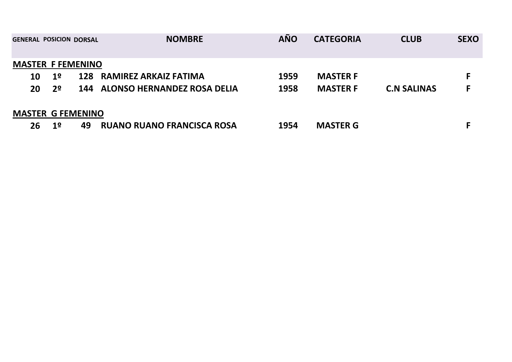| <b>GENERAL POSICION DORSAL</b> |                |    | <b>NOMBRE</b>                     | <b>AÑO</b> | <b>CATEGORIA</b> | <b>CLUB</b>        | <b>SEXO</b> |
|--------------------------------|----------------|----|-----------------------------------|------------|------------------|--------------------|-------------|
|                                |                |    |                                   |            |                  |                    |             |
| <b>MASTER F FEMENINO</b>       |                |    |                                   |            |                  |                    |             |
| 10                             | 1 <sup>o</sup> |    | 128 RAMIREZ ARKAIZ FATIMA         | 1959       | <b>MASTER F</b>  |                    |             |
| 20                             | 2 <sup>o</sup> |    | 144 ALONSO HERNANDEZ ROSA DELIA   | 1958       | <b>MASTER F</b>  | <b>C.N SALINAS</b> | F           |
| <b>MASTER G FEMENINO</b>       |                |    |                                   |            |                  |                    |             |
| 26                             | 1 <sup>o</sup> | 49 | <b>RUANO RUANO FRANCISCA ROSA</b> | 1954       | <b>MASTER G</b>  |                    |             |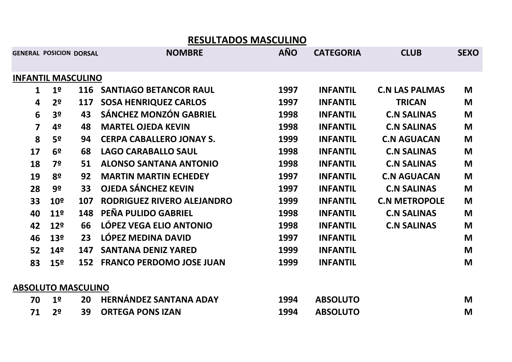| <b>GENERAL POSICION DORSAL</b> |                 |     | <b>NOMBRE</b>                   | <b>AÑO</b> | <b>CATEGORIA</b> | <b>CLUB</b>           | <b>SEXO</b> |
|--------------------------------|-----------------|-----|---------------------------------|------------|------------------|-----------------------|-------------|
|                                |                 |     |                                 |            |                  |                       |             |
| <b>INFANTIL MASCULINO</b>      |                 |     |                                 |            |                  |                       |             |
| 1                              | 1 <sup>o</sup>  | 116 | <b>SANTIAGO BETANCOR RAUL</b>   | 1997       | <b>INFANTIL</b>  | <b>C.N LAS PALMAS</b> | M           |
| $\overline{\mathbf{4}}$        | 2 <sup>o</sup>  | 117 | <b>SOSA HENRIQUEZ CARLOS</b>    | 1997       | <b>INFANTIL</b>  | <b>TRICAN</b>         | M           |
| 6                              | 3 <sup>o</sup>  | 43  | <b>SÁNCHEZ MONZÓN GABRIEL</b>   | 1998       | <b>INFANTIL</b>  | <b>C.N SALINAS</b>    | M           |
| 7                              | 4º              | 48  | <b>MARTEL OJEDA KEVIN</b>       | 1998       | <b>INFANTIL</b>  | <b>C.N SALINAS</b>    | M           |
| 8                              | 5º              | 94  | <b>CERPA CABALLERO JONAY S.</b> | 1999       | <b>INFANTIL</b>  | <b>C.N AGUACAN</b>    | M           |
| 17                             | 6 <sup>2</sup>  | 68  | <b>LAGO CARABALLO SAUL</b>      | 1998       | <b>INFANTIL</b>  | <b>C.N SALINAS</b>    | M           |
| 18                             | 7º              | 51  | <b>ALONSO SANTANA ANTONIO</b>   | 1998       | <b>INFANTIL</b>  | <b>C.N SALINAS</b>    | M           |
| 19                             | 8º              | 92  | <b>MARTIN MARTIN ECHEDEY</b>    | 1997       | <b>INFANTIL</b>  | <b>C.N AGUACAN</b>    | M           |
| 28                             | 9º              | 33  | <b>OJEDA SÁNCHEZ KEVIN</b>      | 1997       | <b>INFANTIL</b>  | <b>C.N SALINAS</b>    | M           |
| 33                             | 10 <sup>o</sup> | 107 | RODRIGUEZ RIVERO ALEJANDRO      | 1999       | <b>INFANTIL</b>  | <b>C.N METROPOLE</b>  | M           |
| 40                             | 11º             | 148 | PEÑA PULIDO GABRIEL             | 1998       | <b>INFANTIL</b>  | <b>C.N SALINAS</b>    | M           |
| 42                             | 12 <sup>°</sup> | 66  | LÓPEZ VEGA ELIO ANTONIO         | 1998       | <b>INFANTIL</b>  | <b>C.N SALINAS</b>    | M           |
| 46                             | 13º             | 23  | LÓPEZ MEDINA DAVID              | 1997       | <b>INFANTIL</b>  |                       | M           |
| 52                             | 14º             | 147 | <b>SANTANA DENIZ YARED</b>      | 1999       | <b>INFANTIL</b>  |                       | M           |
| 83                             | 15 <sup>°</sup> | 152 | <b>FRANCO PERDOMO JOSE JUAN</b> | 1999       | <b>INFANTIL</b>  |                       | M           |
|                                |                 |     |                                 |            |                  |                       |             |
| <b>ABSOLUTO MASCULINO</b>      |                 |     |                                 |            |                  |                       |             |
| 70                             | 1 <sup>o</sup>  | 20  | <b>HERNÁNDEZ SANTANA ADAY</b>   | 1994       | <b>ABSOLUTO</b>  |                       | M           |
|                                |                 |     |                                 |            |                  |                       |             |

**<sup>1994</sup> ABSOLUTO**

**71 2º <sup>39</sup> ORTEGA PONS IZAN**

 $\mathsf{M}% _{T}=\mathsf{M}_{T}\!\left( a,b\right) ,\ \mathsf{M}_{T}=\mathsf{M}_{T}$ 

**<sup>M</sup>**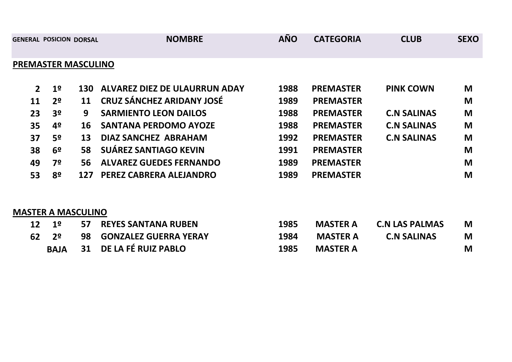|                |                | <b>GENERAL POSICION DORSAL</b> | <b>NOMBRE</b>                        | <b>AÑO</b> | <b>CATEGORIA</b> | <b>CLUB</b>        | <b>SEXO</b> |
|----------------|----------------|--------------------------------|--------------------------------------|------------|------------------|--------------------|-------------|
|                |                | <b>PREMASTER MASCULINO</b>     |                                      |            |                  |                    |             |
| 2 <sup>1</sup> | 1 <sup>o</sup> | 130                            | <b>ALVAREZ DIEZ DE ULAURRUN ADAY</b> | 1988       | <b>PREMASTER</b> | <b>PINK COWN</b>   | M           |
| 11             | 2 <sup>o</sup> | 11                             | <b>CRUZ SÁNCHEZ ARIDANY JOSÉ</b>     | 1989       | <b>PREMASTER</b> |                    | M           |
| 23             | 3 <sup>o</sup> | 9                              | <b>SARMIENTO LEON DAILOS</b>         | 1988       | <b>PREMASTER</b> | <b>C.N SALINAS</b> | M           |
| 35             | 4º             | 16                             | <b>SANTANA PERDOMO AYOZE</b>         | 1988       | <b>PREMASTER</b> | <b>C.N SALINAS</b> | M           |
| 37             | 5º             | 13                             | <b>DIAZ SANCHEZ ABRAHAM</b>          | 1992       | <b>PREMASTER</b> | <b>C.N SALINAS</b> | M           |
| 38             | 6 <sup>o</sup> | 58                             | <b>SUÁREZ SANTIAGO KEVIN</b>         | 1991       | <b>PREMASTER</b> |                    | M           |
| 49             | 7º             | 56                             | <b>ALVAREZ GUEDES FERNANDO</b>       | 1989       | <b>PREMASTER</b> |                    | M           |
| 53             | 8º             | 127                            | PEREZ CABRERA ALEJANDRO              | 1989       | <b>PREMASTER</b> |                    | M           |

## **MASTER A MASCULINO**

| $12 \quad 19$    | 57 REYES SANTANA RUBEN   | 1985 |                 | <b>MASTER A</b> C.N LAS PALMAS | M |
|------------------|--------------------------|------|-----------------|--------------------------------|---|
| $62$ $2^{\circ}$ | 98 GONZALEZ GUERRA YERAY | 1984 | <b>MASTER A</b> | <b>C.N SALINAS</b>             | M |
| <b>BAJA</b>      | 31 DE LA FÉ RUIZ PABLO   | 1985 | <b>MASTER A</b> |                                | M |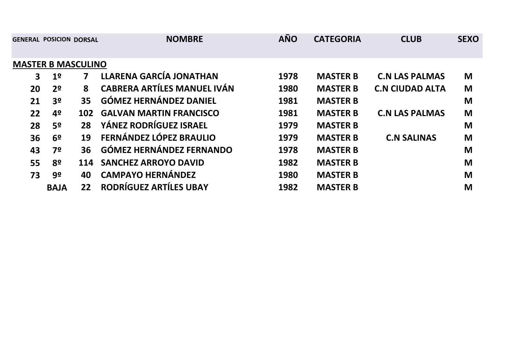| <b>GENERAL POSICION DORSAL</b> |                |                   | <b>NOMBRE</b>                      | <b>AÑO</b> | <b>CATEGORIA</b> | <b>CLUB</b>            | <b>SEXO</b> |
|--------------------------------|----------------|-------------------|------------------------------------|------------|------------------|------------------------|-------------|
| <b>MASTER B MASCULINO</b>      |                |                   |                                    |            |                  |                        |             |
| $\mathbf{3}$                   | 1 <sup>o</sup> | $\mathbf{7}$      | <b>LLARENA GARCÍA JONATHAN</b>     | 1978       | <b>MASTER B</b>  | <b>C.N LAS PALMAS</b>  | M           |
| 20                             | 2 <sup>o</sup> | 8                 | <b>CABRERA ARTÍLES MANUEL IVÁN</b> | 1980       | <b>MASTER B</b>  | <b>C.N CIUDAD ALTA</b> | M           |
| 21                             | 3 <sup>o</sup> | 35                | <b>GÓMEZ HERNÁNDEZ DANIEL</b>      | 1981       | <b>MASTER B</b>  |                        | M           |
| 22                             | 4º             | 102               | <b>GALVAN MARTIN FRANCISCO</b>     | 1981       | <b>MASTER B</b>  | <b>C.N LAS PALMAS</b>  | M           |
| 28                             | 5º             | 28                | YÁNEZ RODRÍGUEZ ISRAEL             | 1979       | <b>MASTER B</b>  |                        | M           |
| 36                             | 6 <sup>o</sup> | 19                | FERNÁNDEZ LÓPEZ BRAULIO            | 1979       | <b>MASTER B</b>  | <b>C.N SALINAS</b>     | M           |
| 43                             | 7º             | 36                | <b>GÓMEZ HERNÁNDEZ FERNANDO</b>    | 1978       | <b>MASTER B</b>  |                        | M           |
| 55                             | 8º             | 114               | <b>SANCHEZ ARROYO DAVID</b>        | 1982       | <b>MASTER B</b>  |                        | M           |
| 73                             | 9º             | 40                | <b>CAMPAYO HERNÁNDEZ</b>           | 1980       | <b>MASTER B</b>  |                        | M           |
|                                | <b>BAJA</b>    | $22 \overline{)}$ | RODRÍGUEZ ARTÍLES UBAY             | 1982       | <b>MASTER B</b>  |                        | M           |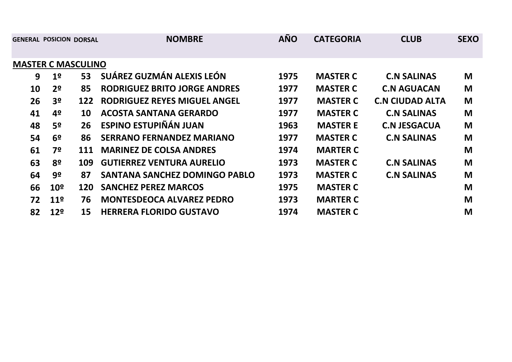|           | <b>GENERAL POSICION DORSAL</b> |            | <b>NOMBRE</b>                       | <b>AÑO</b> | <b>CATEGORIA</b> | <b>CLUB</b>            | <b>SEXO</b> |  |  |  |
|-----------|--------------------------------|------------|-------------------------------------|------------|------------------|------------------------|-------------|--|--|--|
|           |                                |            |                                     |            |                  |                        |             |  |  |  |
|           | <b>MASTER C MASCULINO</b>      |            |                                     |            |                  |                        |             |  |  |  |
| 9         | 1 <sup>o</sup>                 | 53         | SUÁREZ GUZMÁN ALEXIS LEÓN           | 1975       | <b>MASTER C</b>  | <b>C.N SALINAS</b>     | M           |  |  |  |
| <b>10</b> | 2 <sup>o</sup>                 | 85         | <b>RODRIGUEZ BRITO JORGE ANDRES</b> | 1977       | <b>MASTER C</b>  | <b>C.N AGUACAN</b>     | M           |  |  |  |
| 26        | 3 <sup>o</sup>                 | 122        | <b>RODRIGUEZ REYES MIGUEL ANGEL</b> | 1977       | <b>MASTER C</b>  | <b>C.N CIUDAD ALTA</b> | M           |  |  |  |
| 41        | 4º                             | 10         | <b>ACOSTA SANTANA GERARDO</b>       | 1977       | <b>MASTER C</b>  | <b>C.N SALINAS</b>     | M           |  |  |  |
| 48        | 5º                             | 26         | ESPINO ESTUPIÑÁN JUAN               | 1963       | <b>MASTER E</b>  | <b>C.N JESGACUA</b>    | M           |  |  |  |
| 54        | 6 <sup>o</sup>                 | 86         | <b>SERRANO FERNANDEZ MARIANO</b>    | 1977       | <b>MASTER C</b>  | <b>C.N SALINAS</b>     | M           |  |  |  |
| 61        | 7º                             | 111        | <b>MARINEZ DE COLSA ANDRES</b>      | 1974       | <b>MARTER C</b>  |                        | M           |  |  |  |
| 63        | 8º                             | 109        | <b>GUTIERREZ VENTURA AURELIO</b>    | 1973       | <b>MASTER C</b>  | <b>C.N SALINAS</b>     | M           |  |  |  |
| 64        | 9º                             | 87         | SANTANA SANCHEZ DOMINGO PABLO       | 1973       | <b>MASTER C</b>  | <b>C.N SALINAS</b>     | M           |  |  |  |
| 66        | 10 <sup>°</sup>                | <b>120</b> | <b>SANCHEZ PEREZ MARCOS</b>         | 1975       | <b>MASTER C</b>  |                        | M           |  |  |  |
| 72        | 11 <sup>°</sup>                | 76         | <b>MONTESDEOCA ALVAREZ PEDRO</b>    | 1973       | <b>MARTER C</b>  |                        | M           |  |  |  |
| 82        | 12 <sup>°</sup>                | 15         | <b>HERRERA FLORIDO GUSTAVO</b>      | 1974       | <b>MASTER C</b>  |                        | M           |  |  |  |
|           |                                |            |                                     |            |                  |                        |             |  |  |  |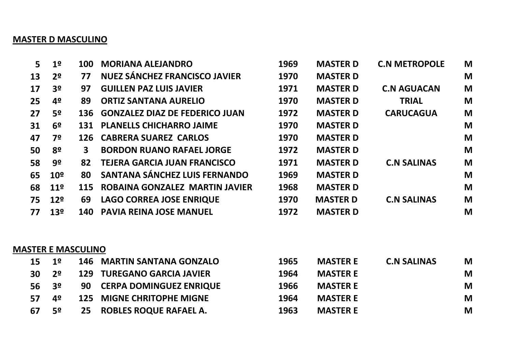#### **MASTER D MASCULINO**

| 5  | 1 <sup>°</sup>  | <b>100</b>   | <b>MORIANA ALEJANDRO</b>              | 1969 | <b>MASTER D</b> | <b>C.N METROPOLE</b> | M |
|----|-----------------|--------------|---------------------------------------|------|-----------------|----------------------|---|
| 13 | 2 <sup>o</sup>  | 77           | <b>NUEZ SÁNCHEZ FRANCISCO JAVIER</b>  | 1970 | <b>MASTER D</b> |                      | M |
| 17 | 3 <sup>o</sup>  | 97           | <b>GUILLEN PAZ LUIS JAVIER</b>        | 1971 | <b>MASTER D</b> | <b>C.N AGUACAN</b>   | M |
| 25 | 4º              | 89           | <b>ORTIZ SANTANA AURELIO</b>          | 1970 | <b>MASTER D</b> | <b>TRIAL</b>         | M |
| 27 | 5º              | 136          | <b>GONZALEZ DIAZ DE FEDERICO JUAN</b> | 1972 | <b>MASTER D</b> | <b>CARUCAGUA</b>     | M |
| 31 | 6 <sup>o</sup>  | 131          | <b>PLANELLS CHICHARRO JAIME</b>       | 1970 | <b>MASTER D</b> |                      | M |
| 47 | 7º              | 126          | <b>CABRERA SUAREZ CARLOS</b>          | 1970 | <b>MASTER D</b> |                      | M |
| 50 | 8º              | $\mathbf{3}$ | <b>BORDON RUANO RAFAEL JORGE</b>      | 1972 | <b>MASTER D</b> |                      | M |
| 58 | 9º              | 82           | <b>TEJERA GARCIA JUAN FRANCISCO</b>   | 1971 | <b>MASTER D</b> | <b>C.N SALINAS</b>   | M |
| 65 | 10 <sup>°</sup> | 80           | SANTANA SÁNCHEZ LUIS FERNANDO         | 1969 | <b>MASTER D</b> |                      | M |
| 68 | 11 <sup>°</sup> | 115          | ROBAINA GONZALEZ MARTIN JAVIER        | 1968 | <b>MASTER D</b> |                      | M |
| 75 | 12 <sup>°</sup> | 69           | <b>LAGO CORREA JOSE ENRIQUE</b>       | 1970 | <b>MASTER D</b> | <b>C.N SALINAS</b>   | M |
| 77 | 13 <sup>°</sup> | 140          | <b>PAVIA REINA JOSE MANUEL</b>        | 1972 | <b>MASTER D</b> |                      | M |
|    |                 |              |                                       |      |                 |                      |   |

#### **MASTER E MASCULINO**

|           | $15 \t19$   |    | <b>146 MARTIN SANTANA GONZALO</b> | 1965 | <b>MASTER E</b> | <b>C.N SALINAS</b> | M |
|-----------|-------------|----|-----------------------------------|------|-----------------|--------------------|---|
| <b>30</b> | $2^{\circ}$ |    | <b>129 TUREGANO GARCIA JAVIER</b> | 1964 | <b>MASTER E</b> |                    | M |
| $56 \t39$ |             | 90 | <b>CERPA DOMINGUEZ ENRIQUE</b>    | 1966 | <b>MASTER E</b> |                    | M |
| 57        | 4º          |    | <b>125 MIGNE CHRITOPHE MIGNE</b>  | 1964 | <b>MASTER E</b> |                    | M |
| 67        | 5º          | 25 | <b>ROBLES ROQUE RAFAEL A.</b>     | 1963 | <b>MASTER E</b> |                    | M |
|           |             |    |                                   |      |                 |                    |   |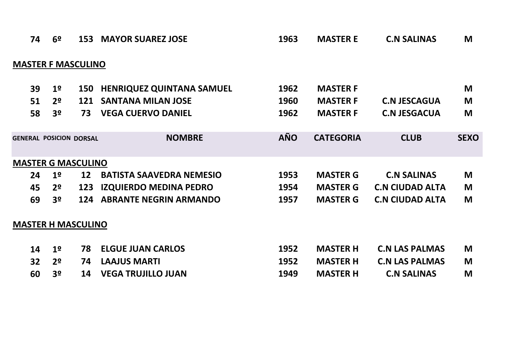| 74                             | 6 <sup>o</sup>            | 153 | <b>MAYOR SUAREZ JOSE</b>         | 1963       | <b>MASTER E</b>  | <b>C.N SALINAS</b>     | M           |  |  |
|--------------------------------|---------------------------|-----|----------------------------------|------------|------------------|------------------------|-------------|--|--|
| <b>MASTER F MASCULINO</b>      |                           |     |                                  |            |                  |                        |             |  |  |
| 39                             | 1 <sup>o</sup>            | 150 | <b>HENRIQUEZ QUINTANA SAMUEL</b> | 1962       | <b>MASTER F</b>  |                        | M           |  |  |
| 51                             | 2 <sup>o</sup>            | 121 | <b>SANTANA MILAN JOSE</b>        | 1960       | <b>MASTER F</b>  | <b>C.N JESCAGUA</b>    | M           |  |  |
| 58                             | 3 <sup>o</sup>            | 73  | <b>VEGA CUERVO DANIEL</b>        | 1962       | <b>MASTER F</b>  | <b>C.N JESGACUA</b>    | M           |  |  |
| <b>GENERAL POSICION DORSAL</b> |                           |     | <b>NOMBRE</b>                    | <b>AÑO</b> | <b>CATEGORIA</b> | <b>CLUB</b>            | <b>SEXO</b> |  |  |
| <b>MASTER G MASCULINO</b>      |                           |     |                                  |            |                  |                        |             |  |  |
| 24                             | 1 <sup>o</sup>            | 12  | <b>BATISTA SAAVEDRA NEMESIO</b>  | 1953       | <b>MASTER G</b>  | <b>C.N SALINAS</b>     | M           |  |  |
| 45                             | 2 <sup>o</sup>            | 123 | <b>IZQUIERDO MEDINA PEDRO</b>    | 1954       | <b>MASTER G</b>  | <b>C.N CIUDAD ALTA</b> | M           |  |  |
| 69                             | 3 <sup>o</sup>            | 124 | <b>ABRANTE NEGRIN ARMANDO</b>    | 1957       | <b>MASTER G</b>  | <b>C.N CIUDAD ALTA</b> | M           |  |  |
|                                | <b>MASTER H MASCULINO</b> |     |                                  |            |                  |                        |             |  |  |
| 14                             | 1 <sup>o</sup>            | 78  | <b>ELGUE JUAN CARLOS</b>         | 1952       | <b>MASTER H</b>  | <b>C.N LAS PALMAS</b>  | M           |  |  |
| 32 <sub>2</sub>                | 2 <sup>o</sup>            | 74  | <b>LAAJUS MARTI</b>              | 1952       | <b>MASTER H</b>  | <b>C.N LAS PALMAS</b>  | M           |  |  |
| 60                             | 3 <sup>o</sup>            | 14  | <b>VEGA TRUJILLO JUAN</b>        | 1949       | <b>MASTER H</b>  | <b>C.N SALINAS</b>     | M           |  |  |
|                                |                           |     |                                  |            |                  |                        |             |  |  |